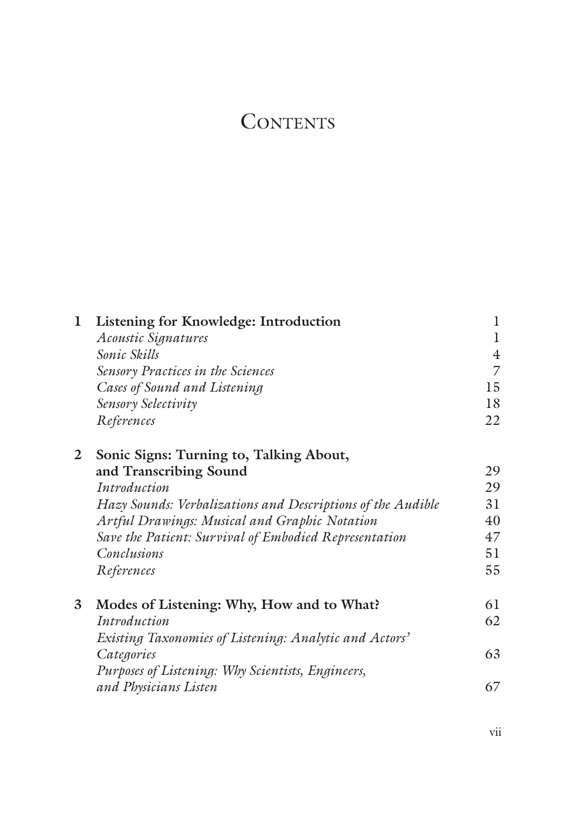## **CONTENTS**

| 1 | Listening for Knowledge: Introduction                       |                |
|---|-------------------------------------------------------------|----------------|
|   | Acoustic Signatures                                         | 1              |
|   | Sonic Skills                                                | $\overline{4}$ |
|   | Sensory Practices in the Sciences                           | 7              |
|   | Cases of Sound and Listening                                | 15             |
|   | Sensory Selectivity                                         | 18             |
|   | References                                                  | 22             |
| 2 | Sonic Signs: Turning to, Talking About,                     |                |
|   | and Transcribing Sound                                      | 29             |
|   | Introduction                                                | 29             |
|   | Hazy Sounds: Verbalizations and Descriptions of the Audible | 31             |
|   | Artful Drawings: Musical and Graphic Notation               | 40             |
|   | Save the Patient: Survival of Embodied Representation       | 47             |
|   | Conclusions                                                 | 51             |
|   | References                                                  | 55             |
| 3 | Modes of Listening: Why, How and to What?                   | 61             |
|   | Introduction                                                | 62             |
|   | Existing Taxonomies of Listening: Analytic and Actors'      |                |
|   | Categories                                                  | 63             |
|   | Purposes of Listening: Why Scientists, Engineers,           |                |
|   | and Physicians Listen                                       | 67             |
|   |                                                             |                |

vii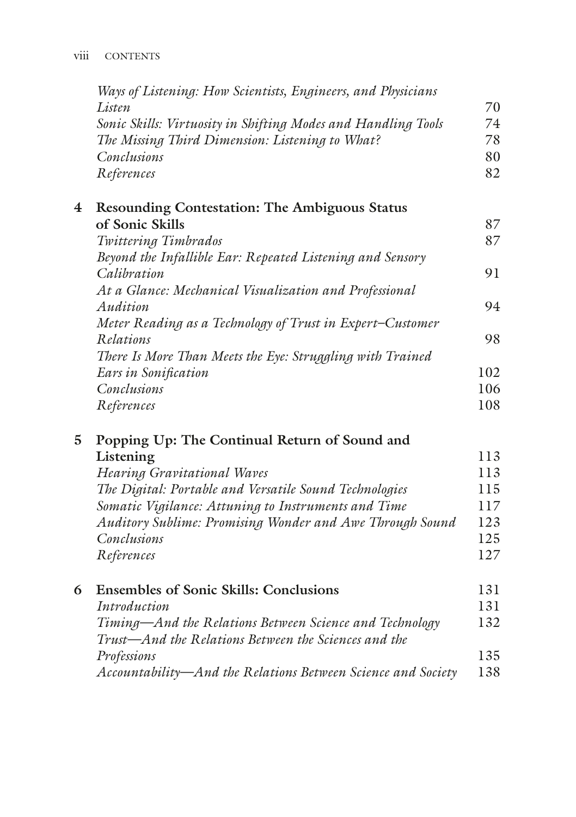|   | Ways of Listening: How Scientists, Engineers, and Physicians  |     |
|---|---------------------------------------------------------------|-----|
|   | Listen                                                        | 70  |
|   | Sonic Skills: Virtuosity in Shifting Modes and Handling Tools | 74  |
|   | The Missing Third Dimension: Listening to What?               | 78  |
|   | Conclusions                                                   | 80  |
|   | References                                                    | 82  |
| 4 | <b>Resounding Contestation: The Ambiguous Status</b>          |     |
|   | of Sonic Skills                                               | 87  |
|   | Twittering Timbrados                                          | 87  |
|   | Beyond the Infallible Ear: Repeated Listening and Sensory     |     |
|   | Calibration                                                   | 91  |
|   | At a Glance: Mechanical Visualization and Professional        |     |
|   | Audition                                                      | 94  |
|   | Meter Reading as a Technology of Trust in Expert-Customer     |     |
|   | Relations                                                     | 98  |
|   | There Is More Than Meets the Eye: Struggling with Trained     |     |
|   | Ears in Sonification                                          | 102 |
|   | Conclusions                                                   | 106 |
|   | References                                                    | 108 |
|   |                                                               |     |

## **5 Popping Up: The Continual Return of Sound and**  Listening 113

*Hearing Gravitational Waves* 113 *The Digital: Portable and Versatile Sound Technologies* 115 *Somatic Vigilance: Attuning to Instruments and Time* 117 *Auditory Sublime: Promising Wonder and Awe Through Sound* 123 *Conclusions* 125 *References* 127

| 6 Ensembles of Sonic Skills: Conclusions                     | 131 |
|--------------------------------------------------------------|-----|
| Introduction                                                 | 131 |
| Timing—And the Relations Between Science and Technology      | 132 |
| Trust—And the Relations Between the Sciences and the         |     |
| Professions                                                  | 135 |
| Accountability–And the Relations Between Science and Society | 138 |